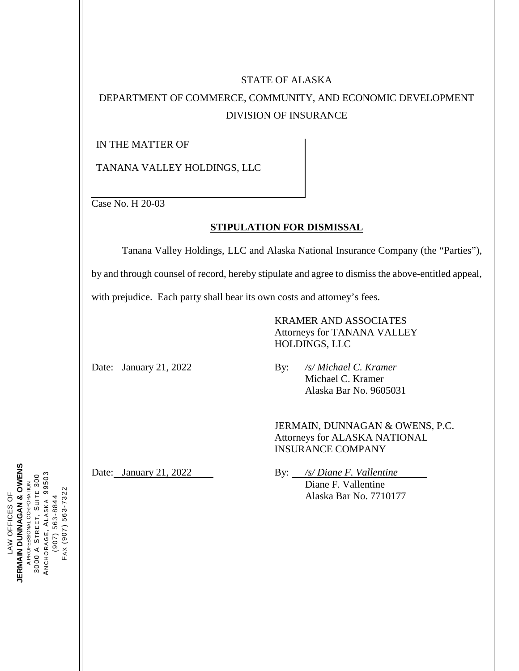# STATE OF ALASKA

# DEPARTMENT OF COMMERCE, COMMUNITY, AND ECONOMIC DEVELOPMENT DIVISION OF INSURANCE

IN THE MATTER OF

TANANA VALLEY HOLDINGS, LLC

Case No. H 20-03

#### **STIPULATION FOR DISMISSAL**

Tanana Valley Holdings, LLC and Alaska National Insurance Company (the "Parties"), by and through counsel of record, hereby stipulate and agree to dismiss the above-entitled appeal,

with prejudice. Each party shall bear its own costs and attorney's fees.

KRAMER AND ASSOCIATES Attorneys for TANANA VALLEY HOLDINGS, LLC

Date: January 21, 2022 By: */s/ Michael C. Kramer* Michael C. Kramer Alaska Bar No. 9605031

> JERMAIN, DUNNAGAN & OWENS, P.C. Attorneys for ALASKA NATIONAL INSURANCE COMPANY

Date: January 21, 2022 By: */s/ Diane F. Vallentine* Diane F. Vallentine Alaska Bar No. 7710177

**JERMAIN DUNNAGAN & OWENS<br>A PROFESSIONAL CORPORATION JERMAIN DUNNAGAN & OWENS** 3000 A STREET, SUITE 300<br>ANCHORAGE, ALASKA 99503<br>(907) 563-8844 NCHORAGE, ALASKA 99503 STREET, SUITE 300 PROFESSIONAL CORPORATION FAX (907) 563-7322 FAX (907) 563-7322 LAW OFFICES OF LAW OFFICES OF (907) 563-8844 3000 A